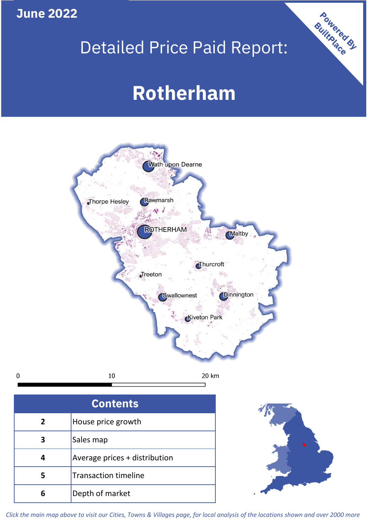## **June 2022**

 $\mathbf 0$ 

## Detailed Price Paid Report:

# **Rotherham**



| <b>Contents</b> |                               |  |  |
|-----------------|-------------------------------|--|--|
| 2               | House price growth            |  |  |
| 3               | Sales map                     |  |  |
|                 | Average prices + distribution |  |  |
|                 | <b>Transaction timeline</b>   |  |  |
|                 | Depth of market               |  |  |



Powered By

*Click the main map above to visit our Cities, Towns & Villages page, for local analysis of the locations shown and over 2000 more*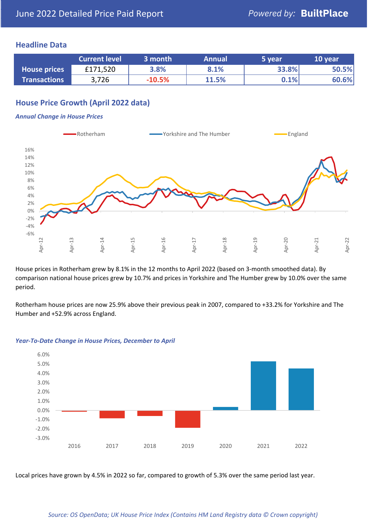### **Headline Data**

|                     | <b>Current level</b> | 3 month  | <b>Annual</b> | 5 year | 10 year |
|---------------------|----------------------|----------|---------------|--------|---------|
| <b>House prices</b> | £171,520             | 3.8%     | 8.1%          | 33.8%  | 50.5%   |
| <b>Transactions</b> | 3,726                | $-10.5%$ | 11.5%         | 0.1%   | 60.6%   |

## **House Price Growth (April 2022 data)**

#### *Annual Change in House Prices*



House prices in Rotherham grew by 8.1% in the 12 months to April 2022 (based on 3-month smoothed data). By comparison national house prices grew by 10.7% and prices in Yorkshire and The Humber grew by 10.0% over the same period.

Rotherham house prices are now 25.9% above their previous peak in 2007, compared to +33.2% for Yorkshire and The Humber and +52.9% across England.



#### *Year-To-Date Change in House Prices, December to April*

Local prices have grown by 4.5% in 2022 so far, compared to growth of 5.3% over the same period last year.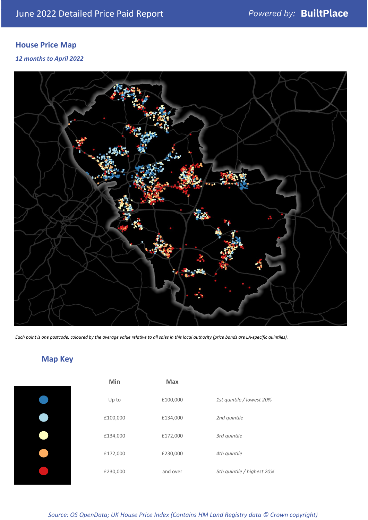## **House Price Map**

*12 months to April 2022*



*Each point is one postcode, coloured by the average value relative to all sales in this local authority (price bands are LA-specific quintiles).*

## **Map Key**

| 1st quintile / lowest 20%  |
|----------------------------|
|                            |
|                            |
|                            |
| 5th quintile / highest 20% |
|                            |

*Source: OS OpenData; UK House Price Index (Contains HM Land Registry data © Crown copyright)*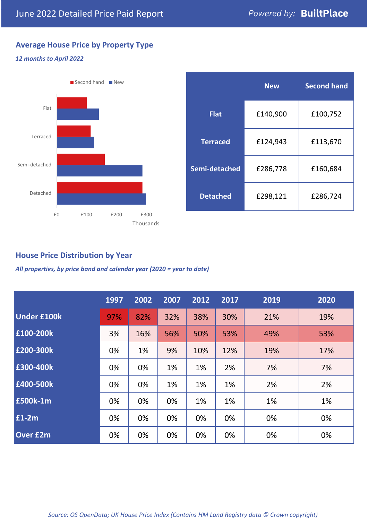## **Average House Price by Property Type**

#### *12 months to April 2022*



|                 | <b>New</b> | <b>Second hand</b> |  |  |
|-----------------|------------|--------------------|--|--|
| <b>Flat</b>     | £140,900   | £100,752           |  |  |
| <b>Terraced</b> | £124,943   | £113,670           |  |  |
| Semi-detached   | £286,778   | £160,684           |  |  |
| <b>Detached</b> | £298,121   | £286,724           |  |  |

### **House Price Distribution by Year**

*All properties, by price band and calendar year (2020 = year to date)*

|                    | 1997 | 2002 | 2007 | 2012 | 2017 | 2019 | 2020 |
|--------------------|------|------|------|------|------|------|------|
| <b>Under £100k</b> | 97%  | 82%  | 32%  | 38%  | 30%  | 21%  | 19%  |
| £100-200k          | 3%   | 16%  | 56%  | 50%  | 53%  | 49%  | 53%  |
| E200-300k          | 0%   | 1%   | 9%   | 10%  | 12%  | 19%  | 17%  |
| £300-400k          | 0%   | 0%   | 1%   | 1%   | 2%   | 7%   | 7%   |
| £400-500k          | 0%   | 0%   | 1%   | 1%   | 1%   | 2%   | 2%   |
| <b>£500k-1m</b>    | 0%   | 0%   | 0%   | 1%   | 1%   | 1%   | 1%   |
| £1-2m              | 0%   | 0%   | 0%   | 0%   | 0%   | 0%   | 0%   |
| <b>Over £2m</b>    | 0%   | 0%   | 0%   | 0%   | 0%   | 0%   | 0%   |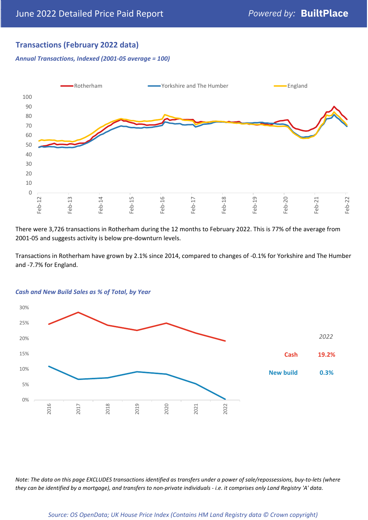## **Transactions (February 2022 data)**

*Annual Transactions, Indexed (2001-05 average = 100)*



There were 3,726 transactions in Rotherham during the 12 months to February 2022. This is 77% of the average from 2001-05 and suggests activity is below pre-downturn levels.

Transactions in Rotherham have grown by 2.1% since 2014, compared to changes of -0.1% for Yorkshire and The Humber and -7.7% for England.



#### *Cash and New Build Sales as % of Total, by Year*

*Note: The data on this page EXCLUDES transactions identified as transfers under a power of sale/repossessions, buy-to-lets (where they can be identified by a mortgage), and transfers to non-private individuals - i.e. it comprises only Land Registry 'A' data.*